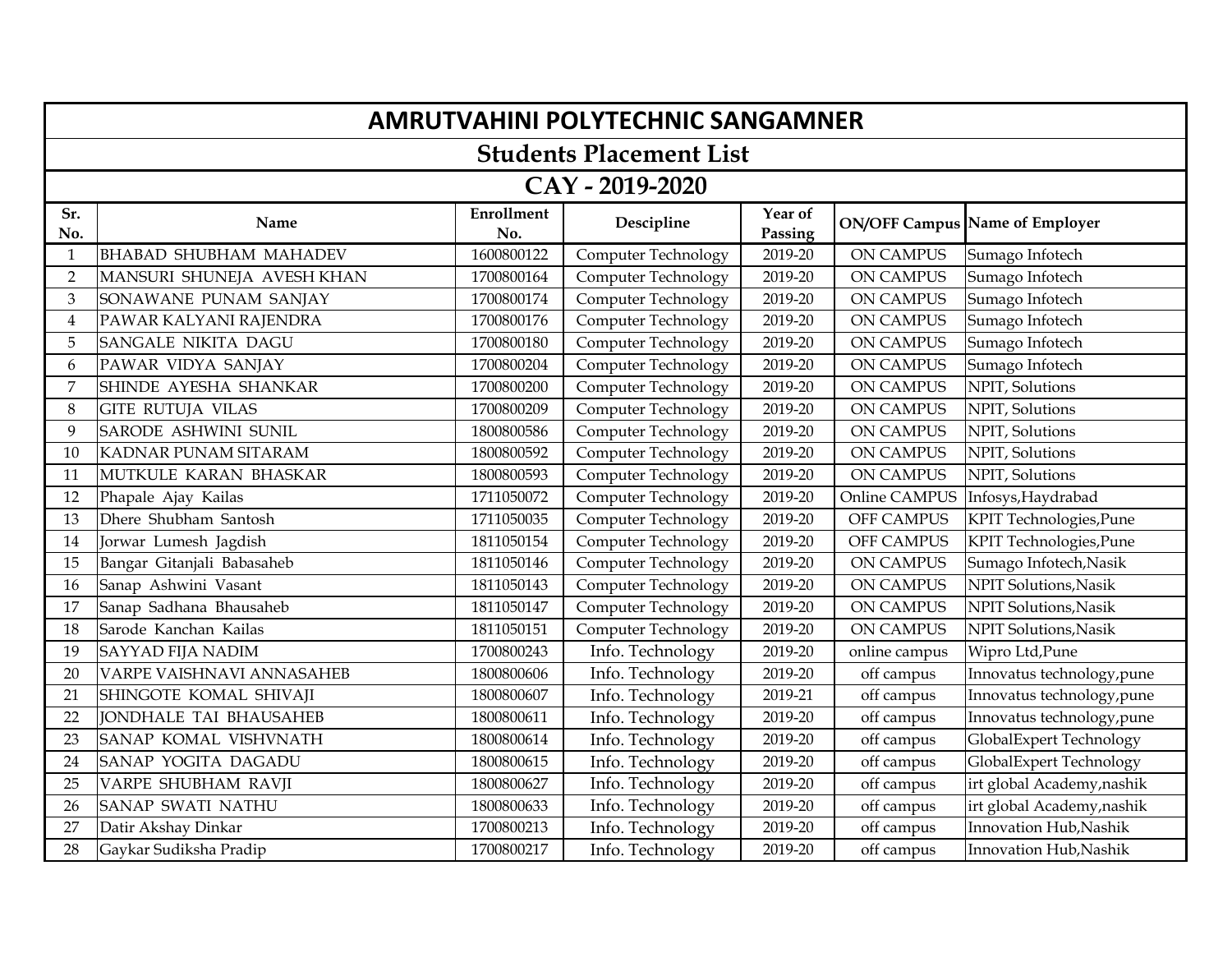|                | <b>AMRUTVAHINI POLYTECHNIC SANGAMNER</b> |                          |                            |                    |                   |                                       |  |  |
|----------------|------------------------------------------|--------------------------|----------------------------|--------------------|-------------------|---------------------------------------|--|--|
|                | <b>Students Placement List</b>           |                          |                            |                    |                   |                                       |  |  |
|                | CAY - 2019-2020                          |                          |                            |                    |                   |                                       |  |  |
| Sr.<br>No.     | Name                                     | <b>Enrollment</b><br>No. | Descipline                 | Year of<br>Passing |                   | <b>ON/OFF Campus Name of Employer</b> |  |  |
| $\mathbf{1}$   | <b>BHABAD SHUBHAM MAHADEV</b>            | 1600800122               | <b>Computer Technology</b> | 2019-20            | <b>ON CAMPUS</b>  | Sumago Infotech                       |  |  |
| $\overline{2}$ | MANSURI SHUNEJA AVESH KHAN               | 1700800164               | Computer Technology        | 2019-20            | <b>ON CAMPUS</b>  | Sumago Infotech                       |  |  |
| $\mathfrak{B}$ | SONAWANE PUNAM SANJAY                    | 1700800174               | <b>Computer Technology</b> | 2019-20            | <b>ON CAMPUS</b>  | Sumago Infotech                       |  |  |
| 4              | PAWAR KALYANI RAJENDRA                   | 1700800176               | Computer Technology        | 2019-20            | <b>ON CAMPUS</b>  | Sumago Infotech                       |  |  |
| 5              | SANGALE NIKITA DAGU                      | 1700800180               | <b>Computer Technology</b> | 2019-20            | <b>ON CAMPUS</b>  | Sumago Infotech                       |  |  |
| 6              | PAWAR VIDYA SANJAY                       | 1700800204               | Computer Technology        | 2019-20            | <b>ON CAMPUS</b>  | Sumago Infotech                       |  |  |
| 7              | SHINDE AYESHA SHANKAR                    | 1700800200               | <b>Computer Technology</b> | 2019-20            | <b>ON CAMPUS</b>  | NPIT, Solutions                       |  |  |
| $\,8\,$        | <b>GITE RUTUJA VILAS</b>                 | 1700800209               | <b>Computer Technology</b> | 2019-20            | <b>ON CAMPUS</b>  | NPIT, Solutions                       |  |  |
| 9              | SARODE ASHWINI SUNIL                     | 1800800586               | <b>Computer Technology</b> | 2019-20            | <b>ON CAMPUS</b>  | NPIT, Solutions                       |  |  |
| 10             | KADNAR PUNAM SITARAM                     | 1800800592               | Computer Technology        | 2019-20            | <b>ON CAMPUS</b>  | NPIT, Solutions                       |  |  |
| 11             | MUTKULE KARAN BHASKAR                    | 1800800593               | <b>Computer Technology</b> | 2019-20            | <b>ON CAMPUS</b>  | NPIT, Solutions                       |  |  |
| 12             | Phapale Ajay Kailas                      | 1711050072               | Computer Technology        | 2019-20            | Online CAMPUS     | Infosys, Haydrabad                    |  |  |
| 13             | Dhere Shubham Santosh                    | 1711050035               | Computer Technology        | 2019-20            | OFF CAMPUS        | KPIT Technologies, Pune               |  |  |
| 14             | Jorwar Lumesh Jagdish                    | 1811050154               | <b>Computer Technology</b> | 2019-20            | <b>OFF CAMPUS</b> | KPIT Technologies, Pune               |  |  |
| 15             | Bangar Gitanjali Babasaheb               | 1811050146               | <b>Computer Technology</b> | 2019-20            | ON CAMPUS         | Sumago Infotech, Nasik                |  |  |
| 16             | Sanap Ashwini Vasant                     | 1811050143               | <b>Computer Technology</b> | 2019-20            | <b>ON CAMPUS</b>  | NPIT Solutions, Nasik                 |  |  |
| 17             | Sanap Sadhana Bhausaheb                  | 1811050147               | <b>Computer Technology</b> | 2019-20            | <b>ON CAMPUS</b>  | NPIT Solutions, Nasik                 |  |  |
| 18             | Sarode Kanchan Kailas                    | 1811050151               | Computer Technology        | 2019-20            | <b>ON CAMPUS</b>  | NPIT Solutions, Nasik                 |  |  |
| 19             | <b>SAYYAD FIJA NADIM</b>                 | 1700800243               | Info. Technology           | 2019-20            | online campus     | Wipro Ltd, Pune                       |  |  |
| 20             | VARPE VAISHNAVI ANNASAHEB                | 1800800606               | Info. Technology           | 2019-20            | off campus        | Innovatus technology, pune            |  |  |
| 21             | SHINGOTE KOMAL SHIVAJI                   | 1800800607               | Info. Technology           | 2019-21            | off campus        | Innovatus technology, pune            |  |  |
| 22             | <b>JONDHALE TAI BHAUSAHEB</b>            | 1800800611               | Info. Technology           | 2019-20            | off campus        | Innovatus technology, pune            |  |  |
| 23             | SANAP KOMAL VISHVNATH                    | 1800800614               | Info. Technology           | 2019-20            | off campus        | GlobalExpert Technology               |  |  |
| 24             | SANAP YOGITA DAGADU                      | 1800800615               | Info. Technology           | 2019-20            | off campus        | GlobalExpert Technology               |  |  |
| 25             | VARPE SHUBHAM RAVJI                      | 1800800627               | Info. Technology           | 2019-20            | off campus        | irt global Academy, nashik            |  |  |
| 26             | <b>SANAP SWATI NATHU</b>                 | 1800800633               | Info. Technology           | 2019-20            | off campus        | irt global Academy, nashik            |  |  |
| 27             | Datir Akshay Dinkar                      | 1700800213               | Info. Technology           | 2019-20            | off campus        | Innovation Hub, Nashik                |  |  |
| 28             | Gaykar Sudiksha Pradip                   | 1700800217               | Info. Technology           | 2019-20            | off campus        | Innovation Hub, Nashik                |  |  |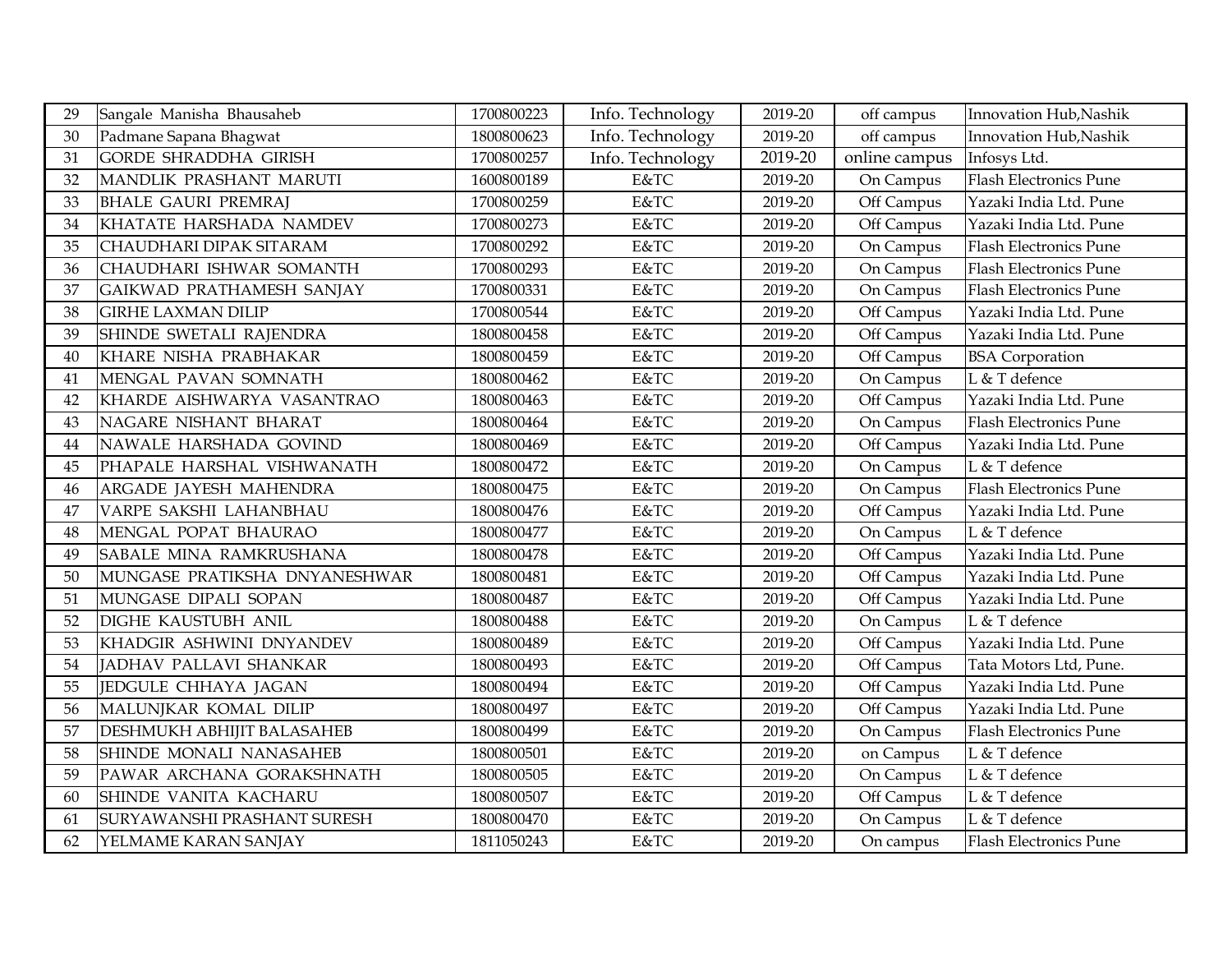| 29 | Sangale Manisha Bhausaheb     | 1700800223 | Info. Technology | 2019-20 | off campus    | Innovation Hub, Nashik        |
|----|-------------------------------|------------|------------------|---------|---------------|-------------------------------|
| 30 | Padmane Sapana Bhagwat        | 1800800623 | Info. Technology | 2019-20 | off campus    | Innovation Hub, Nashik        |
| 31 | <b>GORDE SHRADDHA GIRISH</b>  | 1700800257 | Info. Technology | 2019-20 | online campus | Infosys Ltd.                  |
| 32 | MANDLIK PRASHANT MARUTI       | 1600800189 | E&TC             | 2019-20 | On Campus     | <b>Flash Electronics Pune</b> |
| 33 | <b>BHALE GAURI PREMRAJ</b>    | 1700800259 | $E&TC$           | 2019-20 | Off Campus    | Yazaki India Ltd. Pune        |
| 34 | KHATATE HARSHADA NAMDEV       | 1700800273 | E&TC             | 2019-20 | Off Campus    | Yazaki India Ltd. Pune        |
| 35 | CHAUDHARI DIPAK SITARAM       | 1700800292 | E&TC             | 2019-20 | On Campus     | <b>Flash Electronics Pune</b> |
| 36 | CHAUDHARI ISHWAR SOMANTH      | 1700800293 | E&TC             | 2019-20 | On Campus     | Flash Electronics Pune        |
| 37 | GAIKWAD PRATHAMESH SANJAY     | 1700800331 | E&TC             | 2019-20 | On Campus     | <b>Flash Electronics Pune</b> |
| 38 | <b>GIRHE LAXMAN DILIP</b>     | 1700800544 | E&TC             | 2019-20 | Off Campus    | Yazaki India Ltd. Pune        |
| 39 | SHINDE SWETALI RAJENDRA       | 1800800458 | E&TC             | 2019-20 | Off Campus    | Yazaki India Ltd. Pune        |
| 40 | KHARE NISHA PRABHAKAR         | 1800800459 | E&TC             | 2019-20 | Off Campus    | <b>BSA</b> Corporation        |
| 41 | MENGAL PAVAN SOMNATH          | 1800800462 | E&TC             | 2019-20 | On Campus     | L & T defence                 |
| 42 | KHARDE AISHWARYA VASANTRAO    | 1800800463 | E&TC             | 2019-20 | Off Campus    | Yazaki India Ltd. Pune        |
| 43 | NAGARE NISHANT BHARAT         | 1800800464 | E&TC             | 2019-20 | On Campus     | <b>Flash Electronics Pune</b> |
| 44 | NAWALE HARSHADA GOVIND        | 1800800469 | E&TC             | 2019-20 | Off Campus    | Yazaki India Ltd. Pune        |
| 45 | PHAPALE HARSHAL VISHWANATH    | 1800800472 | E&TC             | 2019-20 | On Campus     | L & T defence                 |
| 46 | ARGADE JAYESH MAHENDRA        | 1800800475 | E&TC             | 2019-20 | On Campus     | <b>Flash Electronics Pune</b> |
| 47 | VARPE SAKSHI LAHANBHAU        | 1800800476 | E&TC             | 2019-20 | Off Campus    | Yazaki India Ltd. Pune        |
| 48 | MENGAL POPAT BHAURAO          | 1800800477 | E&TC             | 2019-20 | On Campus     | L & T defence                 |
| 49 | SABALE MINA RAMKRUSHANA       | 1800800478 | E&TC             | 2019-20 | Off Campus    | Yazaki India Ltd. Pune        |
| 50 | MUNGASE PRATIKSHA DNYANESHWAR | 1800800481 | E&TC             | 2019-20 | Off Campus    | Yazaki India Ltd. Pune        |
| 51 | MUNGASE DIPALI SOPAN          | 1800800487 | E&TC             | 2019-20 | Off Campus    | Yazaki India Ltd. Pune        |
| 52 | DIGHE KAUSTUBH ANIL           | 1800800488 | E&TC             | 2019-20 | On Campus     | L & T defence                 |
| 53 | KHADGIR ASHWINI DNYANDEV      | 1800800489 | E&TC             | 2019-20 | Off Campus    | Yazaki India Ltd. Pune        |
| 54 | JADHAV PALLAVI SHANKAR        | 1800800493 | E&TC             | 2019-20 | Off Campus    | Tata Motors Ltd, Pune.        |
| 55 | JEDGULE CHHAYA JAGAN          | 1800800494 | E&TC             | 2019-20 | Off Campus    | Yazaki India Ltd. Pune        |
| 56 | MALUNJKAR KOMAL DILIP         | 1800800497 | E&TC             | 2019-20 | Off Campus    | Yazaki India Ltd. Pune        |
| 57 | DESHMUKH ABHIJIT BALASAHEB    | 1800800499 | E&TC             | 2019-20 | On Campus     | <b>Flash Electronics Pune</b> |
| 58 | SHINDE MONALI NANASAHEB       | 1800800501 | E&TC             | 2019-20 | on Campus     | L & T defence                 |
| 59 | PAWAR ARCHANA GORAKSHNATH     | 1800800505 | E&TC             | 2019-20 | On Campus     | L & T defence                 |
| 60 | SHINDE VANITA KACHARU         | 1800800507 | E&TC             | 2019-20 | Off Campus    | L & T defence                 |
| 61 | SURYAWANSHI PRASHANT SURESH   | 1800800470 | E&TC             | 2019-20 | On Campus     | L & T defence                 |
| 62 | YELMAME KARAN SANJAY          | 1811050243 | E&TC             | 2019-20 | On campus     | Flash Electronics Pune        |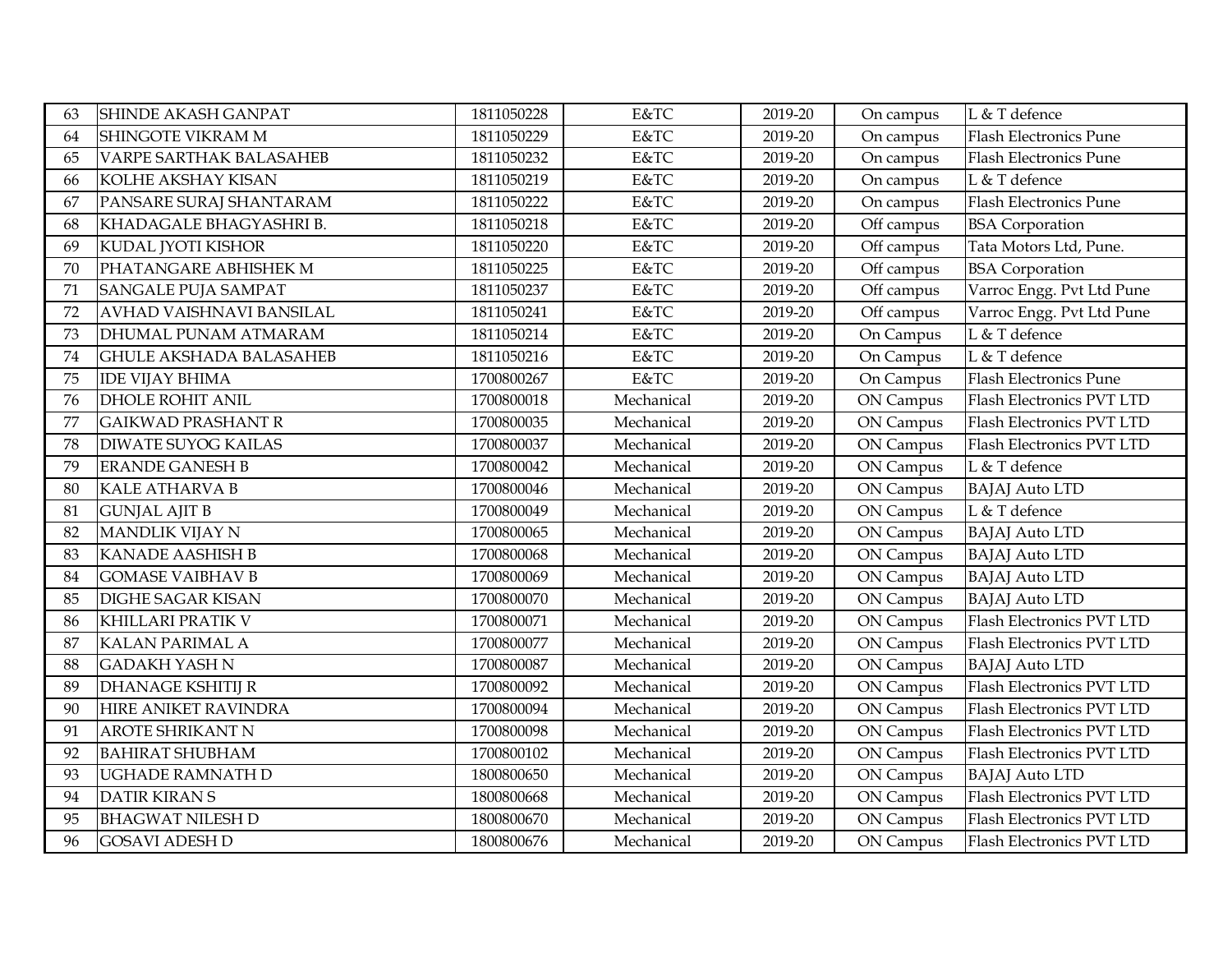| 63 | SHINDE AKASH GANPAT            | 1811050228 | E&TC       | 2019-20 | On campus  | L & T defence                 |
|----|--------------------------------|------------|------------|---------|------------|-------------------------------|
| 64 | SHINGOTE VIKRAM M              | 1811050229 | E&TC       | 2019-20 | On campus  | <b>Flash Electronics Pune</b> |
| 65 | <b>VARPE SARTHAK BALASAHEB</b> | 1811050232 | E&TC       | 2019-20 | On campus  | <b>Flash Electronics Pune</b> |
| 66 | KOLHE AKSHAY KISAN             | 1811050219 | E&TC       | 2019-20 | On campus  | L & T defence                 |
| 67 | PANSARE SURAJ SHANTARAM        | 1811050222 | E&TC       | 2019-20 | On campus  | <b>Flash Electronics Pune</b> |
| 68 | KHADAGALE BHAGYASHRI B.        | 1811050218 | E&TC       | 2019-20 | Off campus | <b>BSA</b> Corporation        |
| 69 | KUDAL JYOTI KISHOR             | 1811050220 | E&TC       | 2019-20 | Off campus | Tata Motors Ltd, Pune.        |
| 70 | PHATANGARE ABHISHEK M          | 1811050225 | E&TC       | 2019-20 | Off campus | <b>BSA</b> Corporation        |
| 71 | SANGALE PUJA SAMPAT            | 1811050237 | E&TC       | 2019-20 | Off campus | Varroc Engg. Pvt Ltd Pune     |
| 72 | AVHAD VAISHNAVI BANSILAL       | 1811050241 | E&TC       | 2019-20 | Off campus | Varroc Engg. Pvt Ltd Pune     |
| 73 | DHUMAL PUNAM ATMARAM           | 1811050214 | E&TC       | 2019-20 | On Campus  | L & T defence                 |
| 74 | <b>GHULE AKSHADA BALASAHEB</b> | 1811050216 | E&TC       | 2019-20 | On Campus  | L & T defence                 |
| 75 | <b>IDE VIJAY BHIMA</b>         | 1700800267 | E&TC       | 2019-20 | On Campus  | <b>Flash Electronics Pune</b> |
| 76 | <b>DHOLE ROHIT ANIL</b>        | 1700800018 | Mechanical | 2019-20 | ON Campus  | Flash Electronics PVT LTD     |
| 77 | <b>GAIKWAD PRASHANT R</b>      | 1700800035 | Mechanical | 2019-20 | ON Campus  | Flash Electronics PVT LTD     |
| 78 | <b>DIWATE SUYOG KAILAS</b>     | 1700800037 | Mechanical | 2019-20 | ON Campus  | Flash Electronics PVT LTD     |
| 79 | <b>ERANDE GANESH B</b>         | 1700800042 | Mechanical | 2019-20 | ON Campus  | L & T defence                 |
| 80 | <b>KALE ATHARVA B</b>          | 1700800046 | Mechanical | 2019-20 | ON Campus  | <b>BAJAJ</b> Auto LTD         |
| 81 | <b>GUNJAL AJIT B</b>           | 1700800049 | Mechanical | 2019-20 | ON Campus  | L & T defence                 |
| 82 | <b>MANDLIK VIJAY N</b>         | 1700800065 | Mechanical | 2019-20 | ON Campus  | <b>BAJAJ</b> Auto LTD         |
| 83 | <b>KANADE AASHISH B</b>        | 1700800068 | Mechanical | 2019-20 | ON Campus  | <b>BAJAJ</b> Auto LTD         |
| 84 | <b>GOMASE VAIBHAV B</b>        | 1700800069 | Mechanical | 2019-20 | ON Campus  | <b>BAJAJ</b> Auto LTD         |
| 85 | <b>DIGHE SAGAR KISAN</b>       | 1700800070 | Mechanical | 2019-20 | ON Campus  | <b>BAJAJ</b> Auto LTD         |
| 86 | KHILLARI PRATIK V              | 1700800071 | Mechanical | 2019-20 | ON Campus  | Flash Electronics PVT LTD     |
| 87 | <b>KALAN PARIMAL A</b>         | 1700800077 | Mechanical | 2019-20 | ON Campus  | Flash Electronics PVT LTD     |
| 88 | <b>GADAKH YASH N</b>           | 1700800087 | Mechanical | 2019-20 | ON Campus  | <b>BAJAJ</b> Auto LTD         |
| 89 | <b>DHANAGE KSHITIJ R</b>       | 1700800092 | Mechanical | 2019-20 | ON Campus  | Flash Electronics PVT LTD     |
| 90 | HIRE ANIKET RAVINDRA           | 1700800094 | Mechanical | 2019-20 | ON Campus  | Flash Electronics PVT LTD     |
| 91 | <b>AROTE SHRIKANT N</b>        | 1700800098 | Mechanical | 2019-20 | ON Campus  | Flash Electronics PVT LTD     |
| 92 | <b>BAHIRAT SHUBHAM</b>         | 1700800102 | Mechanical | 2019-20 | ON Campus  | Flash Electronics PVT LTD     |
| 93 | <b>UGHADE RAMNATH D</b>        | 1800800650 | Mechanical | 2019-20 | ON Campus  | <b>BAJAJ</b> Auto LTD         |
| 94 | <b>DATIR KIRANS</b>            | 1800800668 | Mechanical | 2019-20 | ON Campus  | Flash Electronics PVT LTD     |
| 95 | <b>BHAGWAT NILESH D</b>        | 1800800670 | Mechanical | 2019-20 | ON Campus  | Flash Electronics PVT LTD     |
| 96 | <b>GOSAVI ADESH D</b>          | 1800800676 | Mechanical | 2019-20 | ON Campus  | Flash Electronics PVT LTD     |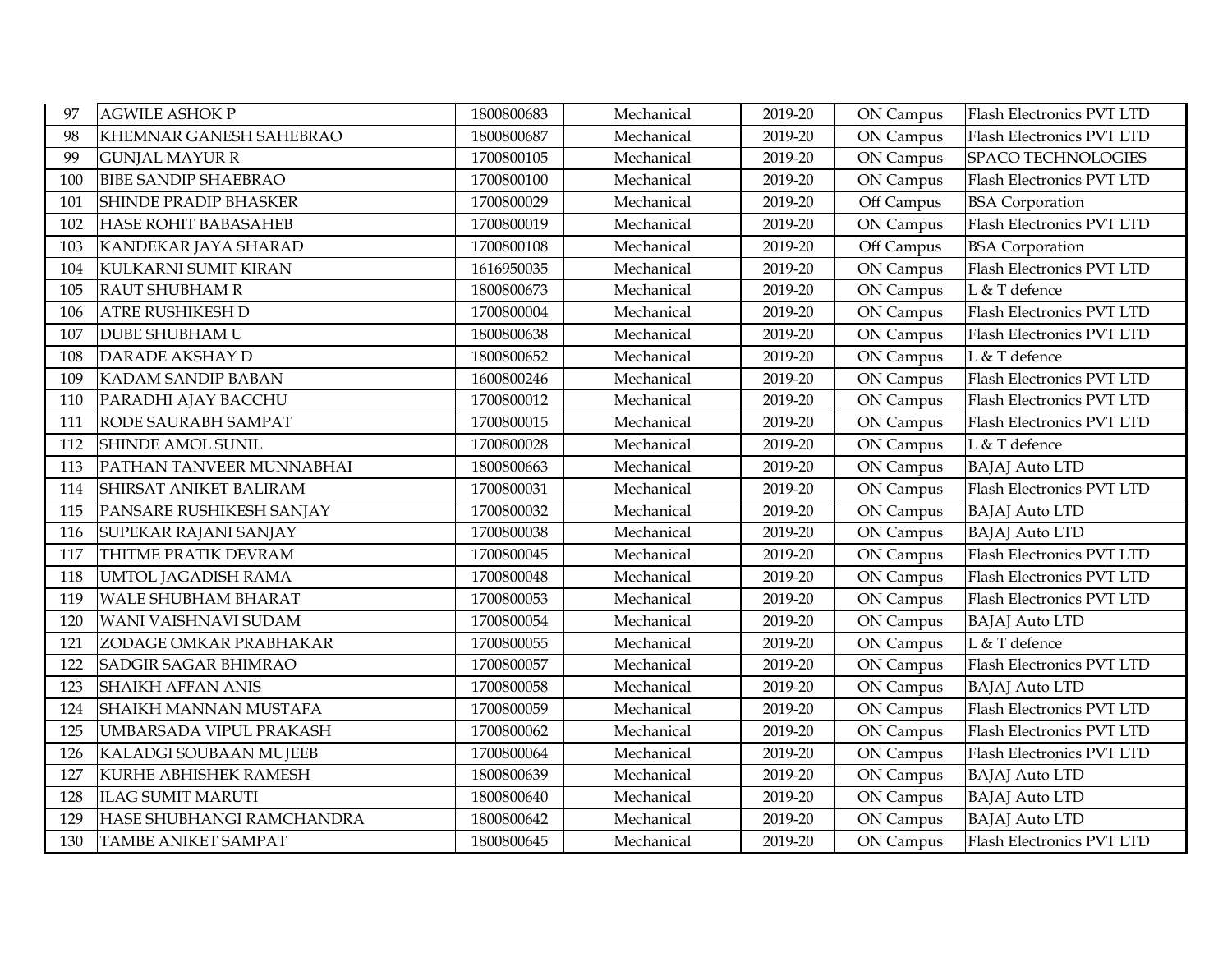| 97  | <b>AGWILE ASHOK P</b>        | 1800800683 | Mechanical | 2019-20 | ON Campus  | Flash Electronics PVT LTD |
|-----|------------------------------|------------|------------|---------|------------|---------------------------|
| 98  | KHEMNAR GANESH SAHEBRAO      | 1800800687 | Mechanical | 2019-20 | ON Campus  | Flash Electronics PVT LTD |
| 99  | <b>GUNJAL MAYUR R</b>        | 1700800105 | Mechanical | 2019-20 | ON Campus  | SPACO TECHNOLOGIES        |
| 100 | <b>BIBE SANDIP SHAEBRAO</b>  | 1700800100 | Mechanical | 2019-20 | ON Campus  | Flash Electronics PVT LTD |
| 101 | <b>SHINDE PRADIP BHASKER</b> | 1700800029 | Mechanical | 2019-20 | Off Campus | <b>BSA</b> Corporation    |
| 102 | <b>HASE ROHIT BABASAHEB</b>  | 1700800019 | Mechanical | 2019-20 | ON Campus  | Flash Electronics PVT LTD |
| 103 | KANDEKAR JAYA SHARAD         | 1700800108 | Mechanical | 2019-20 | Off Campus | <b>BSA</b> Corporation    |
| 104 | KULKARNI SUMIT KIRAN         | 1616950035 | Mechanical | 2019-20 | ON Campus  | Flash Electronics PVT LTD |
| 105 | <b>RAUT SHUBHAM R</b>        | 1800800673 | Mechanical | 2019-20 | ON Campus  | L & T defence             |
| 106 | <b>ATRE RUSHIKESH D</b>      | 1700800004 | Mechanical | 2019-20 | ON Campus  | Flash Electronics PVT LTD |
| 107 | <b>DUBE SHUBHAM U</b>        | 1800800638 | Mechanical | 2019-20 | ON Campus  | Flash Electronics PVT LTD |
| 108 | <b>DARADE AKSHAY D</b>       | 1800800652 | Mechanical | 2019-20 | ON Campus  | L & T defence             |
| 109 | <b>KADAM SANDIP BABAN</b>    | 1600800246 | Mechanical | 2019-20 | ON Campus  | Flash Electronics PVT LTD |
| 110 | PARADHI AJAY BACCHU          | 1700800012 | Mechanical | 2019-20 | ON Campus  | Flash Electronics PVT LTD |
| 111 | RODE SAURABH SAMPAT          | 1700800015 | Mechanical | 2019-20 | ON Campus  | Flash Electronics PVT LTD |
| 112 | <b>SHINDE AMOL SUNIL</b>     | 1700800028 | Mechanical | 2019-20 | ON Campus  | L & T defence             |
| 113 | PATHAN TANVEER MUNNABHAI     | 1800800663 | Mechanical | 2019-20 | ON Campus  | <b>BAJAJ</b> Auto LTD     |
| 114 | SHIRSAT ANIKET BALIRAM       | 1700800031 | Mechanical | 2019-20 | ON Campus  | Flash Electronics PVT LTD |
| 115 | PANSARE RUSHIKESH SANJAY     | 1700800032 | Mechanical | 2019-20 | ON Campus  | <b>BAJAJ</b> Auto LTD     |
| 116 | SUPEKAR RAJANI SANJAY        | 1700800038 | Mechanical | 2019-20 | ON Campus  | <b>BAJAJ</b> Auto LTD     |
| 117 | THITME PRATIK DEVRAM         | 1700800045 | Mechanical | 2019-20 | ON Campus  | Flash Electronics PVT LTD |
| 118 | <b>UMTOL JAGADISH RAMA</b>   | 1700800048 | Mechanical | 2019-20 | ON Campus  | Flash Electronics PVT LTD |
| 119 | <b>WALE SHUBHAM BHARAT</b>   | 1700800053 | Mechanical | 2019-20 | ON Campus  | Flash Electronics PVT LTD |
| 120 | WANI VAISHNAVI SUDAM         | 1700800054 | Mechanical | 2019-20 | ON Campus  | <b>BAJAJ</b> Auto LTD     |
| 121 | ZODAGE OMKAR PRABHAKAR       | 1700800055 | Mechanical | 2019-20 | ON Campus  | L & T defence             |
| 122 | <b>SADGIR SAGAR BHIMRAO</b>  | 1700800057 | Mechanical | 2019-20 | ON Campus  | Flash Electronics PVT LTD |
| 123 | <b>SHAIKH AFFAN ANIS</b>     | 1700800058 | Mechanical | 2019-20 | ON Campus  | <b>BAJAJ</b> Auto LTD     |
| 124 | SHAIKH MANNAN MUSTAFA        | 1700800059 | Mechanical | 2019-20 | ON Campus  | Flash Electronics PVT LTD |
| 125 | UMBARSADA VIPUL PRAKASH      | 1700800062 | Mechanical | 2019-20 | ON Campus  | Flash Electronics PVT LTD |
| 126 | KALADGI SOUBAAN MUJEEB       | 1700800064 | Mechanical | 2019-20 | ON Campus  | Flash Electronics PVT LTD |
| 127 | KURHE ABHISHEK RAMESH        | 1800800639 | Mechanical | 2019-20 | ON Campus  | <b>BAJAJ Auto LTD</b>     |
| 128 | <b>ILAG SUMIT MARUTI</b>     | 1800800640 | Mechanical | 2019-20 | ON Campus  | <b>BAJAJ Auto LTD</b>     |
| 129 | HASE SHUBHANGI RAMCHANDRA    | 1800800642 | Mechanical | 2019-20 | ON Campus  | <b>BAJAJ Auto LTD</b>     |
| 130 | <b>TAMBE ANIKET SAMPAT</b>   | 1800800645 | Mechanical | 2019-20 | ON Campus  | Flash Electronics PVT LTD |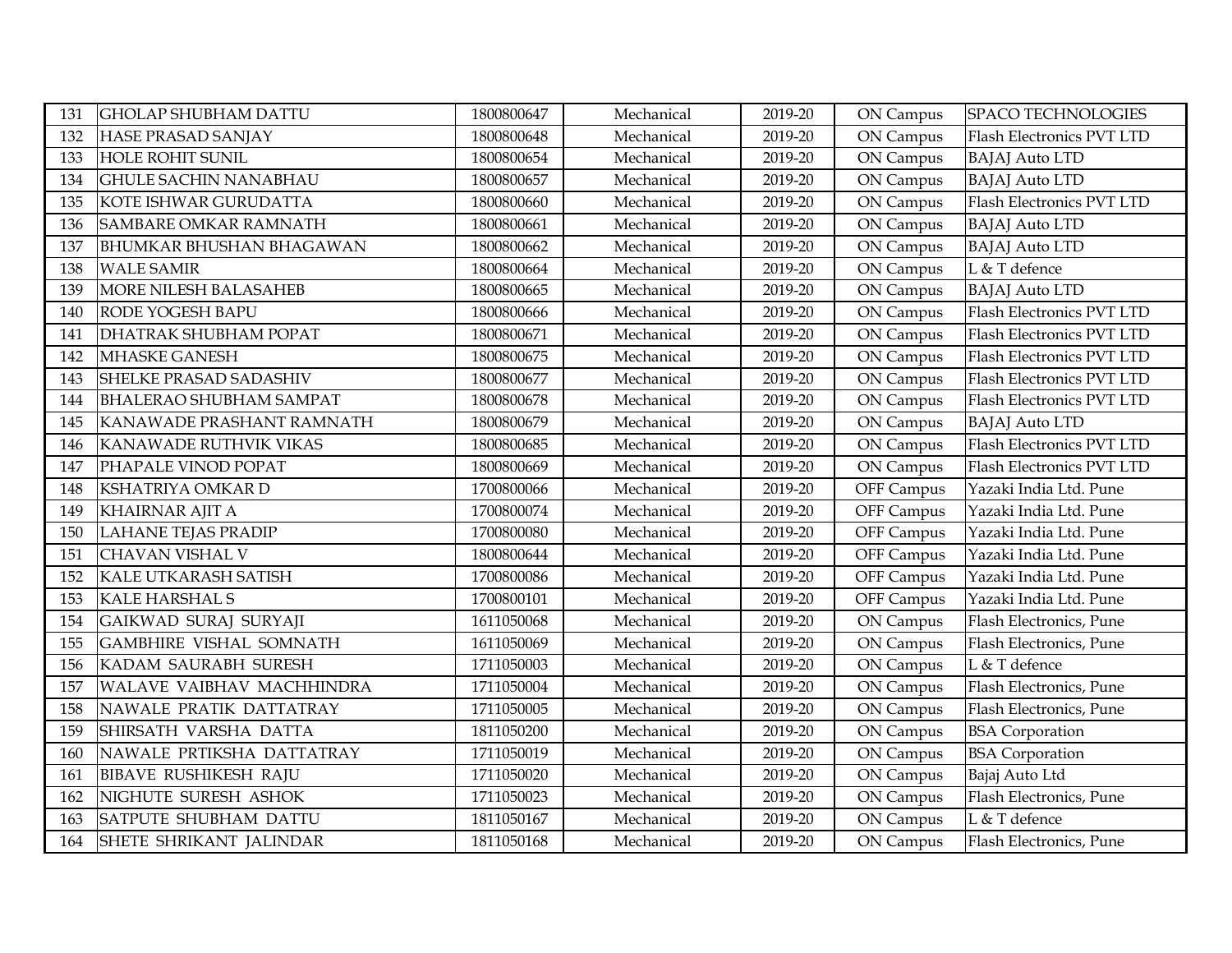| 131 | <b>GHOLAP SHUBHAM DATTU</b>    | 1800800647 | Mechanical | 2019-20 | ON Campus  | SPACO TECHNOLOGIES        |
|-----|--------------------------------|------------|------------|---------|------------|---------------------------|
| 132 | HASE PRASAD SANJAY             | 1800800648 | Mechanical | 2019-20 | ON Campus  | Flash Electronics PVT LTD |
| 133 | <b>HOLE ROHIT SUNIL</b>        | 1800800654 | Mechanical | 2019-20 | ON Campus  | <b>BAJAJ</b> Auto LTD     |
| 134 | <b>GHULE SACHIN NANABHAU</b>   | 1800800657 | Mechanical | 2019-20 | ON Campus  | <b>BAJAJ</b> Auto LTD     |
| 135 | KOTE ISHWAR GURUDATTA          | 1800800660 | Mechanical | 2019-20 | ON Campus  | Flash Electronics PVT LTD |
| 136 | SAMBARE OMKAR RAMNATH          | 1800800661 | Mechanical | 2019-20 | ON Campus  | <b>BAJAJ</b> Auto LTD     |
| 137 | BHUMKAR BHUSHAN BHAGAWAN       | 1800800662 | Mechanical | 2019-20 | ON Campus  | <b>BAJAJ</b> Auto LTD     |
| 138 | <b>WALE SAMIR</b>              | 1800800664 | Mechanical | 2019-20 | ON Campus  | L & T defence             |
| 139 | MORE NILESH BALASAHEB          | 1800800665 | Mechanical | 2019-20 | ON Campus  | <b>BAJAJ</b> Auto LTD     |
| 140 | RODE YOGESH BAPU               | 1800800666 | Mechanical | 2019-20 | ON Campus  | Flash Electronics PVT LTD |
| 141 | DHATRAK SHUBHAM POPAT          | 1800800671 | Mechanical | 2019-20 | ON Campus  | Flash Electronics PVT LTD |
| 142 | <b>MHASKE GANESH</b>           | 1800800675 | Mechanical | 2019-20 | ON Campus  | Flash Electronics PVT LTD |
| 143 | SHELKE PRASAD SADASHIV         | 1800800677 | Mechanical | 2019-20 | ON Campus  | Flash Electronics PVT LTD |
| 144 | <b>BHALERAO SHUBHAM SAMPAT</b> | 1800800678 | Mechanical | 2019-20 | ON Campus  | Flash Electronics PVT LTD |
| 145 | KANAWADE PRASHANT RAMNATH      | 1800800679 | Mechanical | 2019-20 | ON Campus  | <b>BAJAJ</b> Auto LTD     |
| 146 | KANAWADE RUTHVIK VIKAS         | 1800800685 | Mechanical | 2019-20 | ON Campus  | Flash Electronics PVT LTD |
| 147 | PHAPALE VINOD POPAT            | 1800800669 | Mechanical | 2019-20 | ON Campus  | Flash Electronics PVT LTD |
| 148 | KSHATRIYA OMKAR D              | 1700800066 | Mechanical | 2019-20 | OFF Campus | Yazaki India Ltd. Pune    |
| 149 | <b>KHAIRNAR AJIT A</b>         | 1700800074 | Mechanical | 2019-20 | OFF Campus | Yazaki India Ltd. Pune    |
| 150 | <b>LAHANE TEJAS PRADIP</b>     | 1700800080 | Mechanical | 2019-20 | OFF Campus | Yazaki India Ltd. Pune    |
| 151 | CHAVAN VISHAL V                | 1800800644 | Mechanical | 2019-20 | OFF Campus | Yazaki India Ltd. Pune    |
| 152 | KALE UTKARASH SATISH           | 1700800086 | Mechanical | 2019-20 | OFF Campus | Yazaki India Ltd. Pune    |
| 153 | <b>KALE HARSHAL S</b>          | 1700800101 | Mechanical | 2019-20 | OFF Campus | Yazaki India Ltd. Pune    |
| 154 | GAIKWAD SURAJ SURYAJI          | 1611050068 | Mechanical | 2019-20 | ON Campus  | Flash Electronics, Pune   |
| 155 | <b>GAMBHIRE VISHAL SOMNATH</b> | 1611050069 | Mechanical | 2019-20 | ON Campus  | Flash Electronics, Pune   |
| 156 | KADAM SAURABH SURESH           | 1711050003 | Mechanical | 2019-20 | ON Campus  | L & T defence             |
| 157 | WALAVE VAIBHAV MACHHINDRA      | 1711050004 | Mechanical | 2019-20 | ON Campus  | Flash Electronics, Pune   |
| 158 | NAWALE PRATIK DATTATRAY        | 1711050005 | Mechanical | 2019-20 | ON Campus  | Flash Electronics, Pune   |
| 159 | SHIRSATH VARSHA DATTA          | 1811050200 | Mechanical | 2019-20 | ON Campus  | <b>BSA</b> Corporation    |
| 160 | NAWALE PRTIKSHA DATTATRAY      | 1711050019 | Mechanical | 2019-20 | ON Campus  | <b>BSA</b> Corporation    |
| 161 | <b>BIBAVE RUSHIKESH RAJU</b>   | 1711050020 | Mechanical | 2019-20 | ON Campus  | Bajaj Auto Ltd            |
| 162 | NIGHUTE SURESH ASHOK           | 1711050023 | Mechanical | 2019-20 | ON Campus  | Flash Electronics, Pune   |
| 163 | SATPUTE SHUBHAM DATTU          | 1811050167 | Mechanical | 2019-20 | ON Campus  | L & T defence             |
| 164 | SHETE SHRIKANT JALINDAR        | 1811050168 | Mechanical | 2019-20 | ON Campus  | Flash Electronics, Pune   |